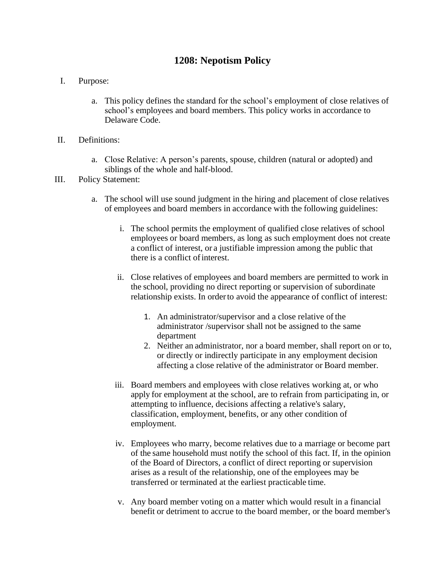## **1208: Nepotism Policy**

- I. Purpose:
	- a. This policy defines the standard for the school's employment of close relatives of school's employees and board members. This policy works in accordance to Delaware Code.
- II. Definitions:
	- a. Close Relative: A person's parents, spouse, children (natural or adopted) and siblings of the whole and half-blood.
- III. Policy Statement:
	- a. The school will use sound judgment in the hiring and placement of close relatives of employees and board members in accordance with the following guidelines:
		- i. The school permits the employment of qualified close relatives of school employees or board members, as long as such employment does not create a conflict of interest, or a justifiable impression among the public that there is a conflict ofinterest.
		- ii. Close relatives of employees and board members are permitted to work in the school, providing no direct reporting or supervision of subordinate relationship exists. In orderto avoid the appearance of conflict of interest:
			- 1. An administrator/supervisor and a close relative of the administrator /supervisor shall not be assigned to the same department
			- 2. Neither an administrator, nor a board member, shall report on or to, or directly or indirectly participate in any employment decision affecting a close relative of the administrator or Board member.
		- iii. Board members and employees with close relatives working at, or who apply for employment at the school, are to refrain from participating in, or attempting to influence, decisions affecting a relative's salary, classification, employment, benefits, or any other condition of employment.
		- iv. Employees who marry, become relatives due to a marriage or become part of the same household must notify the school of this fact. If, in the opinion of the Board of Directors, a conflict of direct reporting or supervision arises as a result of the relationship, one of the employees may be transferred or terminated at the earliest practicable time.
		- v. Any board member voting on a matter which would result in a financial benefit or detriment to accrue to the board member, or the board member's